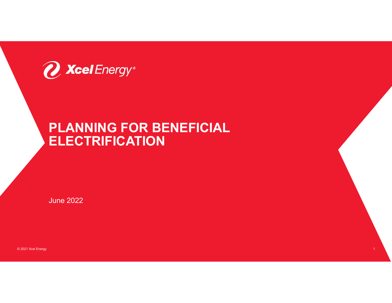

# PLANNING FOR BENEFICIAL **ELECTRIFICATION**

1

June 2022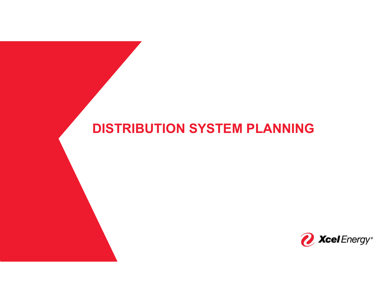# DISTRIBUTION SYSTEM PLANNING

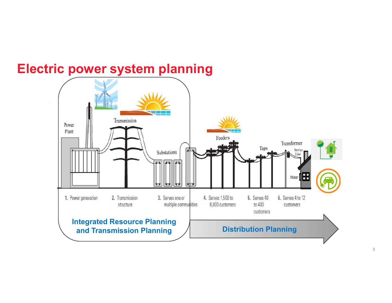

# Electric power system planning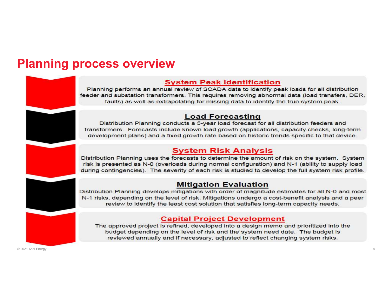## **Planning process overview**

### **System Peak Identification**

Planning performs an annual review of SCADA data to identify peak loads for all distribution feeder and substation transformers. This requires removing abnormal data (load transfers, DER, faults) as well as extrapolating for missing data to identify the true system peak.

### **Load Forecasting**

Distribution Planning conducts a 5-year load forecast for all distribution feeders and transformers. Forecasts include known load growth (applications, capacity checks, long-term development plans) and a fixed growth rate based on historic trends specific to that device.

### **System Risk Analysis**

Distribution Planning uses the forecasts to determine the amount of risk on the system. System risk is presented as N-0 (overloads during normal configuration) and N-1 (ability to supply load during contingencies). The severity of each risk is studied to develop the full system risk profile.

#### **Mitigation Evaluation**

Distribution Planning develops mitigations with order of magnitude estimates for all N-0 and most N-1 risks, depending on the level of risk. Mitigations undergo a cost-benefit analysis and a peer review to identify the least cost solution that satisfies long-term capacity needs.

### **Capital Project Development**

The approved project is refined, developed into a design memo and prioritized into the budget depending on the level of risk and the system need date. The budget is reviewed annually and if necessary, adjusted to reflect changing system risks.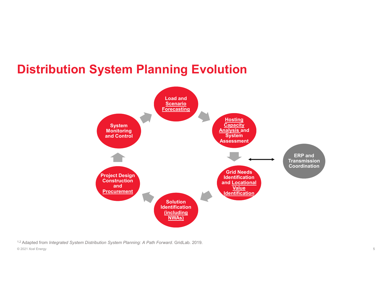## Distribution System Planning Evolution



1,2 Adapted from Integrated System Distribution System Planning: A Path Forward. GridLab. 2019. © 2021 Xcel Energy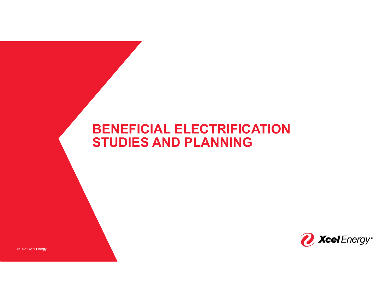# BENEFICIAL ELECTRIFICATION STUDIES AND PLANNING

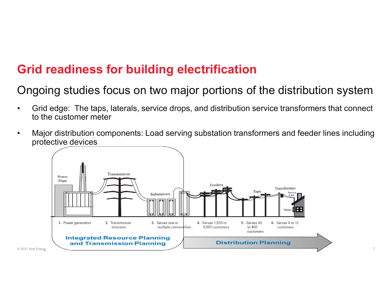# Grid readiness for building electrification

## Ongoing studies focus on two major portions of the distribution system

- **Grid readiness for building electrification**<br>
Ongoing studies focus on two major portions of the distribution system<br>
 Grid edge: The taps, laterals, service drops, and distribution service transformers that connect<br>
 M to the customer meter Grid readiness for building electrification<br>
Ongoing studies focus on two major portions of the distribution system<br>
• Grid edge: The taps, laterals, service drops, and distribution service transformers that connect<br>
to th
- protective devices

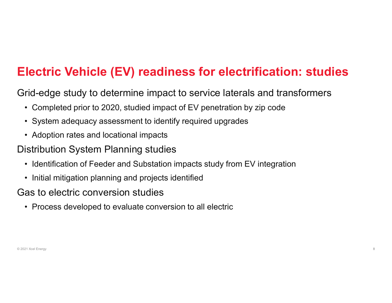# Electric Vehicle (EV) readiness for electrification: studies **lectric Vehicle (EV) readiness for electrification: stud**<br>Fid-edge study to determine impact to service laterals and transformers<br>• Completed prior to 2020, studied impact of EV penetration by zip code<br>• System adequacy a **lectric Vehicle (EV) readiness for electrification: stu-**<br>Fid-edge study to determine impact to service laterals and transformer<br>• Completed prior to 2020, studied impact of EV penetration by zip code<br>• System adequacy as **lectric Vehicle (EV) readiness for elect**<br>Fid-edge study to determine impact to service latera<br>• Completed prior to 2020, studied impact of EV penetration<br>• System adequacy assessment to identify required upgrade<br>• Adopti **lectric Vehicle (EV) readiness for electrification: studies**<br>Fid-edge study to determine impact to service laterals and transformers<br>• Completed prior to 2020, studied impact of EV penetration by zip code<br>• System adequac **lectric Vehicle (EV) readiness for electrification**<br>Fid-edge study to determine impact to service laterals and tra<br>• Completed prior to 2020, studied impact of EV penetration by zip code<br>• System adequacy assessment to id

Grid-edge study to determine impact to service laterals and transformers rid-edge study to determine impact to service laterals and transfor<br>• Completed prior to 2020, studied impact of EV penetration by zip code<br>• System adequacy assessment to identify required upgrades<br>• Adoption rates and lo

- 
- 
- 

### Distribution System Planning studies

- 
- 
- Gas to electric conversion studies
	-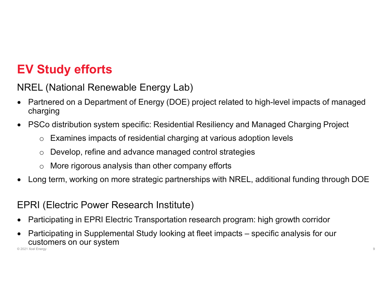# EV Study efforts

## NREL (National Renewable Energy Lab)

- Partnered on a Department of Energy (DOE) project related to high-level impacts of managed charging
- PSCo distribution system specific: Residential Resiliency and Managed Charging Project
	- o Examines impacts of residential charging at various adoption levels
	- o Develop, refine and advance managed control strategies
	- o More rigorous analysis than other company efforts
- Long term, working on more strategic partnerships with NREL, additional funding through DOE

### EPRI (Electric Power Research Institute)

- Participating in EPRI Electric Transportation research program: high growth corridor
- Participation system specific: Residential Resiliency and Managed Charging Project<br>
∴ PSCo distribution system specific: Residential charging at various adoption levels<br>
∴ Develop, refine and advance managed control strat **CUSTOMERS ON OUT SYSTEM** © 2021 Xcel Energy 9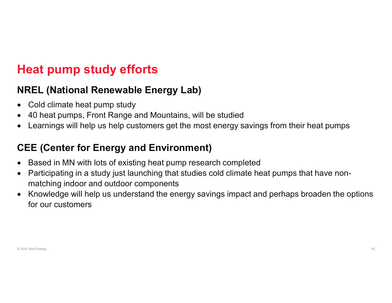# Heat pump study efforts

### NREL (National Renewable Energy Lab)

- Cold climate heat pump study
- 40 heat pumps, Front Range and Mountains, will be studied
- Learnings will help us help customers get the most energy savings from their heat pumps

### CEE (Center for Energy and Environment)

- Based in MN with lots of existing heat pump research completed
- Participating in a study just launching that studies cold climate heat pumps that have nonmatching indoor and outdoor components
- Knowledge will help us understand the energy savings impact and perhaps broaden the options for our customers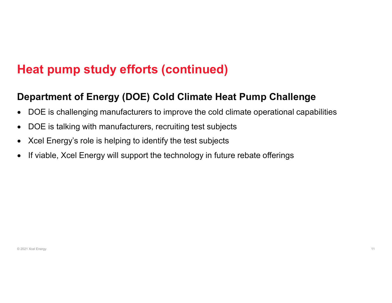# Heat pump study efforts (continued)

### Department of Energy (DOE) Cold Climate Heat Pump Challenge

- DOE is challenging manufacturers to improve the cold climate operational capabilities
- DOE is talking with manufacturers, recruiting test subjects
- Xcel Energy's role is helping to identify the test subjects
- If viable, Xcel Energy will support the technology in future rebate offerings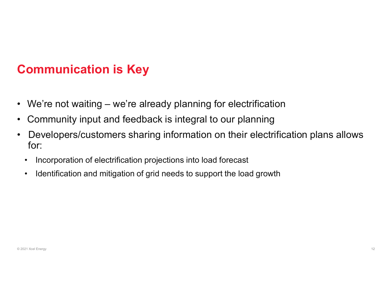# Communication is Key

- **Communication is Key**<br>• We're not waiting we're already planning for electrification<br>• Community input and feedback is integral to our planning<br>• Developers/customers sharing information on their electrification plans a
- 
- **Communication is Key**<br>• We're not waiting we're already planning for electrification<br>• Community input and feedback is integral to our planning<br>• Developers/customers sharing information on their electrification plans a • We're not waiting – we're already planning for electrification<br>• Community input and feedback is integral to our planning<br>• Developers/customers sharing information on their electrification plans allows<br>for:<br>• Incorpora for: • Incorporation of electrification of electrification<br>
• Incorporation community input and feedback is integral to our planning<br>
Developers/customers sharing information on their electrification<br>
• Incorporation of electri • We're not waiting – we're already planning for electrification<br>
Community input and feedback is integral to our planning<br>
Developers/customers sharing information on their electrification plans allows<br>
for:<br>
• Incorporat
	-
	-